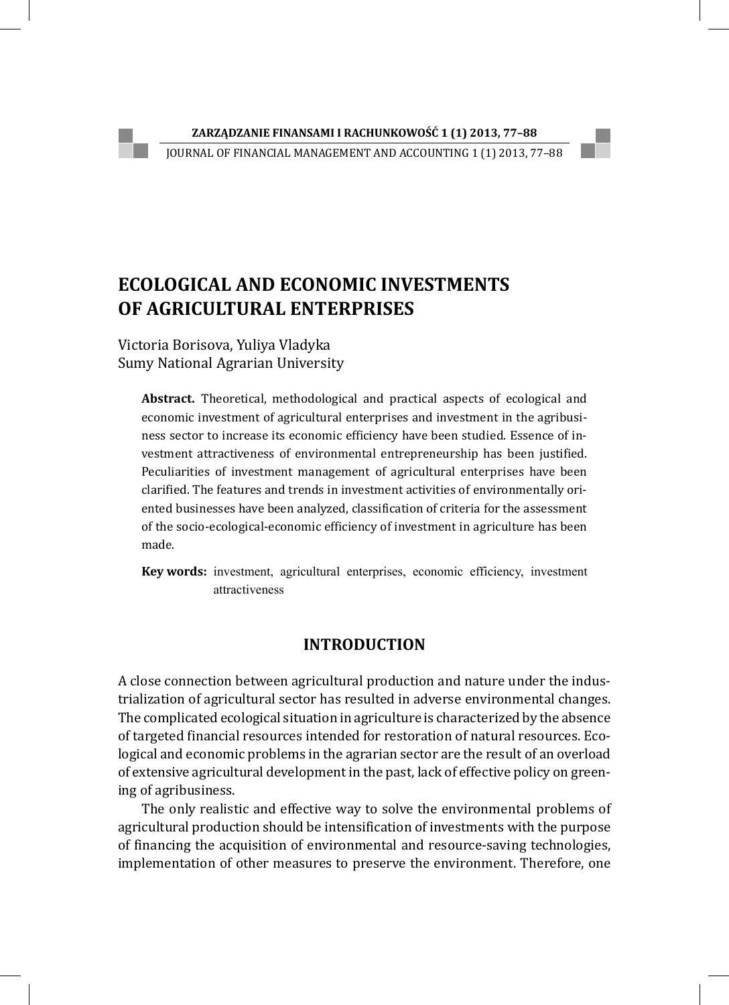JOURNAL OF FINANCIAL MANAGEMENT AND ACCOUNTING 1 (1) 2013, 77–88

# **ECOLOGICAL AND ECONOMIC INVESTMENTS OF AGRICULTURAL ENTERPRISES**

Victoria Borisova, Yuliya Vladyka Sumy National Agrarian University

**Abstract.** Theoretical, methodological and practical aspects of ecological and economic investment of agricultural enterprises and investment in the agribusiness sector to increase its economic efficiency have been studied. Essence of investment attractiveness of environmental entrepreneurship has been justified. Peculiarities of investment management of agricultural enterprises have been clarified. The features and trends in investment activities of environmentally oriented businesses have been analyzed, classification of criteria for the assessment of the socio-ecological-economic efficiency of investment in agriculture has been made.

**Key words:** investment, agricultural enterprises, economic efficiency, investment attractiveness

# **INTRODUCTION**

A close connection between agricultural production and nature under the industrialization of agricultural sector has resulted in adverse environmental changes. The complicated ecological situation in agriculture is characterized by the absence of targeted financial resources intended for restoration of natural resources. Ecological and economic problems in the agrarian sector are the result of an overload of extensive agricultural development in the past, lack of effective policy on greening of agribusiness.

The only realistic and effective way to solve the environmental problems of agricultural production should be intensification of investments with the purpose of financing the acquisition of environmental and resource-saving technologies, implementation of other measures to preserve the environment. Therefore, one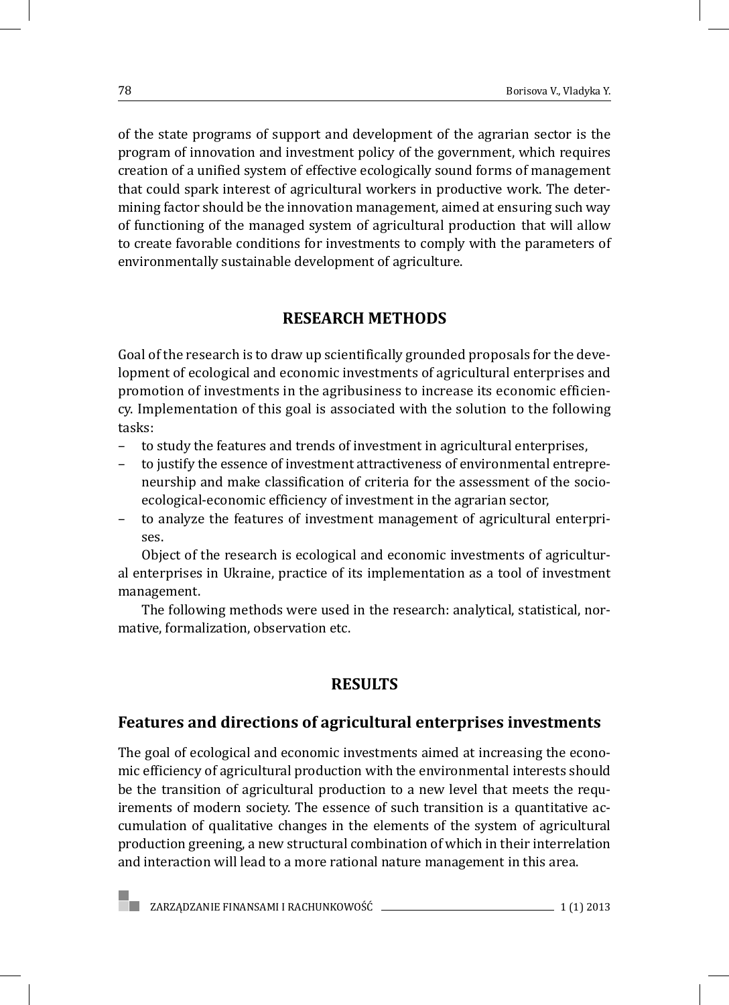of the state programs of support and development of the agrarian sector is the program of innovation and investment policy of the government, which requires creation of a unified system of effective ecologically sound forms of management that could spark interest of agricultural workers in productive work. The determining factor should be the innovation management, aimed at ensuring such way of functioning of the managed system of agricultural production that will allow to create favorable conditions for investments to comply with the parameters of environmentally sustainable development of agriculture.

### **RESEARCH METHODS**

Goal of the research is to draw up scientifically grounded proposals for the development of ecological and economic investments of agricultural enterprises and promotion of investments in the agribusiness to increase its economic efficiency. Implementation of this goal is associated with the solution to the following tasks:

- to study the features and trends of investment in agricultural enterprises,
- to justify the essence of investment attractiveness of environmental entrepreneurship and make classification of criteria for the assessment of the socioecological-economic efficiency of investment in the agrarian sector,
- to analyze the features of investment management of agricultural enterprises.

Object of the research is ecological and economic investments of agricultural enterprises in Ukraine, practice of its implementation as a tool of investment management.

The following methods were used in the research: analytical, statistical, normative, formalization, observation etc.

# **RESULTS**

### **Features and directions of agricultural enterprises investments**

The goal of ecological and economic investments aimed at increasing the economic efficiency of agricultural production with the environmental interests should be the transition of agricultural production to a new level that meets the requirements of modern society. The essence of such transition is a quantitative accumulation of qualitative changes in the elements of the system of agricultural production greening, a new structural combination of which in their interrelation and interaction will lead to a more rational nature management in this area.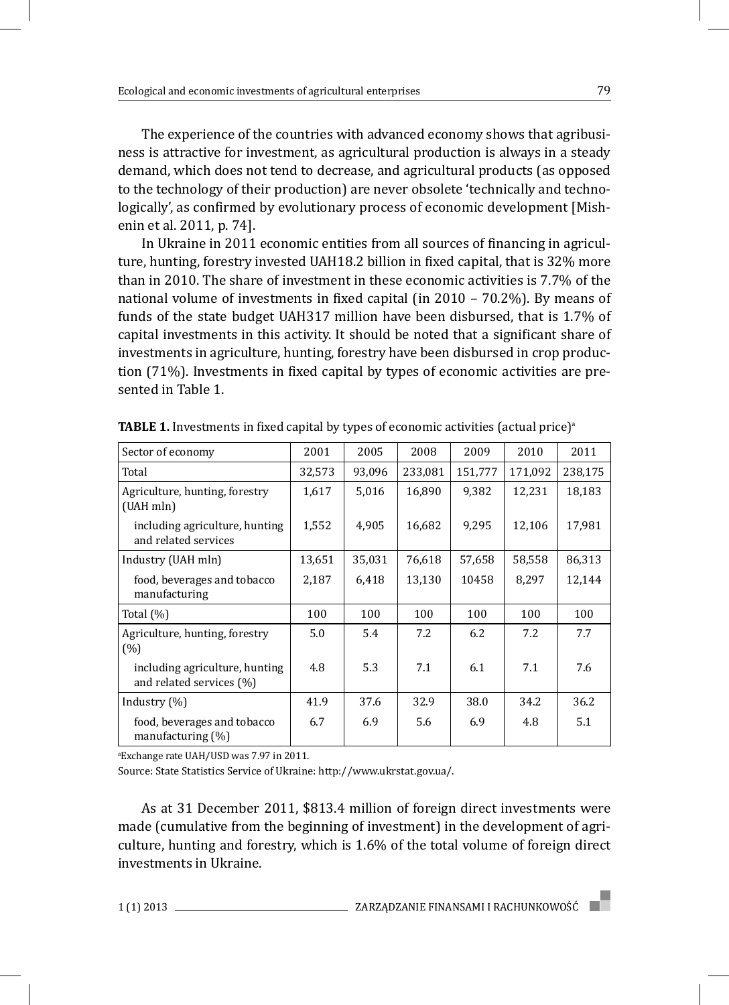The experience of the countries with advanced economy shows that agribusiness is attractive for investment, as agricultural production is always in a steady demand, which does not tend to decrease, and agricultural products (as opposed to the technology of their production) are never obsolete 'technically and technologically', as confirmed by evolutionary process of economic development [Mishenin et al. 2011, p. 74].

In Ukraine in 2011 economic entities from all sources of financing in agriculture, hunting, forestry invested UAH18.2 billion in fixed capital, that is 32% more than in 2010. The share of investment in these economic activities is 7.7% of the national volume of investments in fixed capital (in 2010 – 70.2%). By means of funds of the state budget UAH317 million have been disbursed, that is 1.7% of capital investments in this activity. It should be noted that a significant share of investments in agriculture, hunting, forestry have been disbursed in crop production (71%). Investments in fixed capital by types of economic activities are presented in Table 1.

| Sector of economy                                          | 2001   | 2005   | 2008    | 2009    | 2010    | 2011    |
|------------------------------------------------------------|--------|--------|---------|---------|---------|---------|
| Total                                                      | 32,573 | 93,096 | 233,081 | 151,777 | 171,092 | 238,175 |
| Agriculture, hunting, forestry<br>(UAH mln)                | 1,617  | 5,016  | 16,890  | 9,382   | 12,231  | 18,183  |
| including agriculture, hunting<br>and related services     | 1,552  | 4,905  | 16,682  | 9,295   | 12,106  | 17,981  |
| Industry (UAH mln)                                         | 13,651 | 35,031 | 76,618  | 57,658  | 58,558  | 86,313  |
| food, beverages and tobacco<br>manufacturing               | 2,187  | 6,418  | 13,130  | 10458   | 8,297   | 12,144  |
| Total $(\%)$                                               | 100    | 100    | 100     | 100     | 100     | 100     |
| Agriculture, hunting, forestry<br>(% )                     | 5.0    | 5.4    | 7.2     | 6.2     | 7.2     | 7.7     |
| including agriculture, hunting<br>and related services (%) | 4.8    | 5.3    | 7.1     | 6.1     | 7.1     | 7.6     |
| Industry $(\%)$                                            | 41.9   | 37.6   | 32.9    | 38.0    | 34.2    | 36.2    |
| food, beverages and tobacco<br>manufacturing (%)           | 6.7    | 6.9    | 5.6     | 6.9     | 4.8     | 5.1     |

**TABLE 1.** Investments in fixed capital by types of economic activities (actual price)<sup>a</sup>

a Exchange rate UAH/USD was 7.97 in 2011.

Source: State Statistics Service of Ukraine: http://www.ukrstat.gov.ua/.

As at 31 December 2011, \$813.4 million of foreign direct investments were made (cumulative from the beginning of investment) in the development of agriculture, hunting and forestry, which is 1.6% of the total volume of foreign direct investments in Ukraine.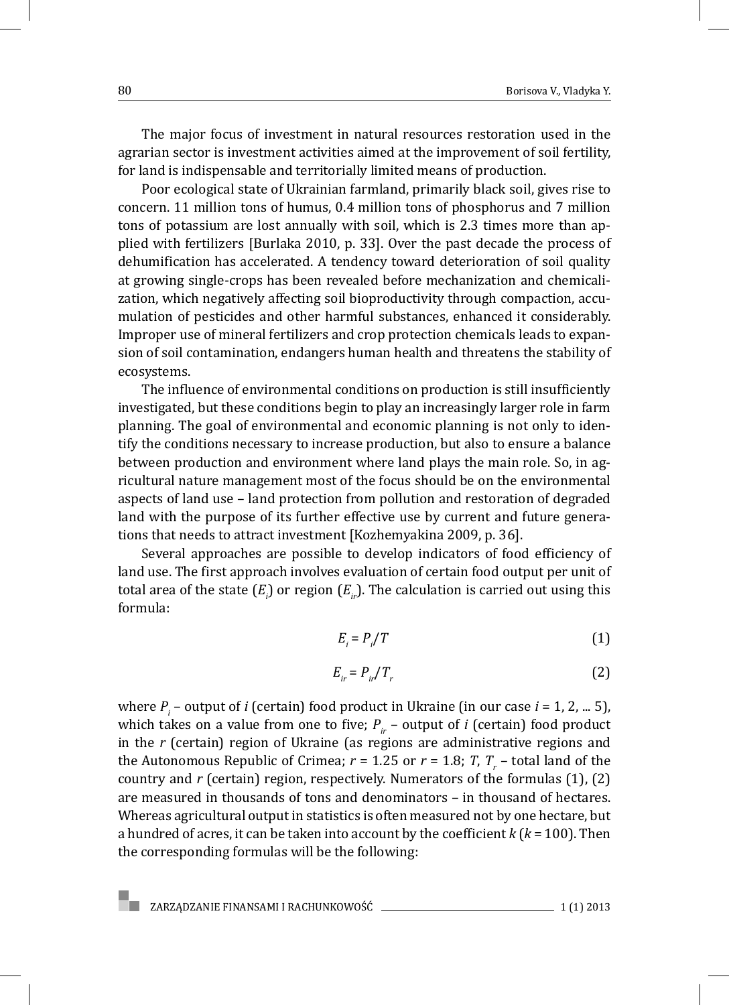The major focus of investment in natural resources restoration used in the agrarian sector is investment activities aimed at the improvement of soil fertility, for land is indispensable and territorially limited means of production.

Poor ecological state of Ukrainian farmland, primarily black soil, gives rise to concern. 11 million tons of humus, 0.4 million tons of phosphorus and 7 million tons of potassium are lost annually with soil, which is 2.3 times more than applied with fertilizers [Burlaka 2010, p. 33]. Over the past decade the process of dehumification has accelerated. A tendency toward deterioration of soil quality at growing single-crops has been revealed before mechanization and chemicalization, which negatively affecting soil bioproductivity through compaction, accumulation of pesticides and other harmful substances, enhanced it considerably. Improper use of mineral fertilizers and crop protection chemicals leads to expansion of soil contamination, endangers human health and threatens the stability of ecosystems.

The influence of environmental conditions on production is still insufficiently investigated, but these conditions begin to play an increasingly larger role in farm planning. The goal of environmental and economic planning is not only to identify the conditions necessary to increase production, but also to ensure a balance between production and environment where land plays the main role. So, in agricultural nature management most of the focus should be on the environmental aspects of land use – land protection from pollution and restoration of degraded land with the purpose of its further effective use by current and future generations that needs to attract investment [Kozhemyakina 2009, p. 36].

Several approaches are possible to develop indicators of food efficiency of land use. The first approach involves evaluation of certain food output per unit of total area of the state  $(E_{i_j})$  or region  $(E_{i_r})$ . The calculation is carried out using this formula:

$$
E_i = P_i / T \tag{1}
$$

$$
E_{ir} = P_{ir}/T_r \tag{2}
$$

where  $P_i$  – output of *i* (certain) food product in Ukraine (in our case *i* = 1, 2, ... 5), which takes on a value from one to five;  $P_{ir}$  – output of *i* (certain) food product in the *r* (certain) region of Ukraine (as regions are administrative regions and the Autonomous Republic of Crimea;  $r = 1.25$  or  $r = 1.8$ ;  $T, T, -$  total land of the country and *r* (certain) region, respectively. Numerators of the formulas (1), (2) are measured in thousands of tons and denominators – in thousand of hectares. Whereas agricultural output in statistics is often measured not by one hectare, but a hundred of acres, it can be taken into account by the coefficient *k* (*k* = 100). Then the corresponding formulas will be the following: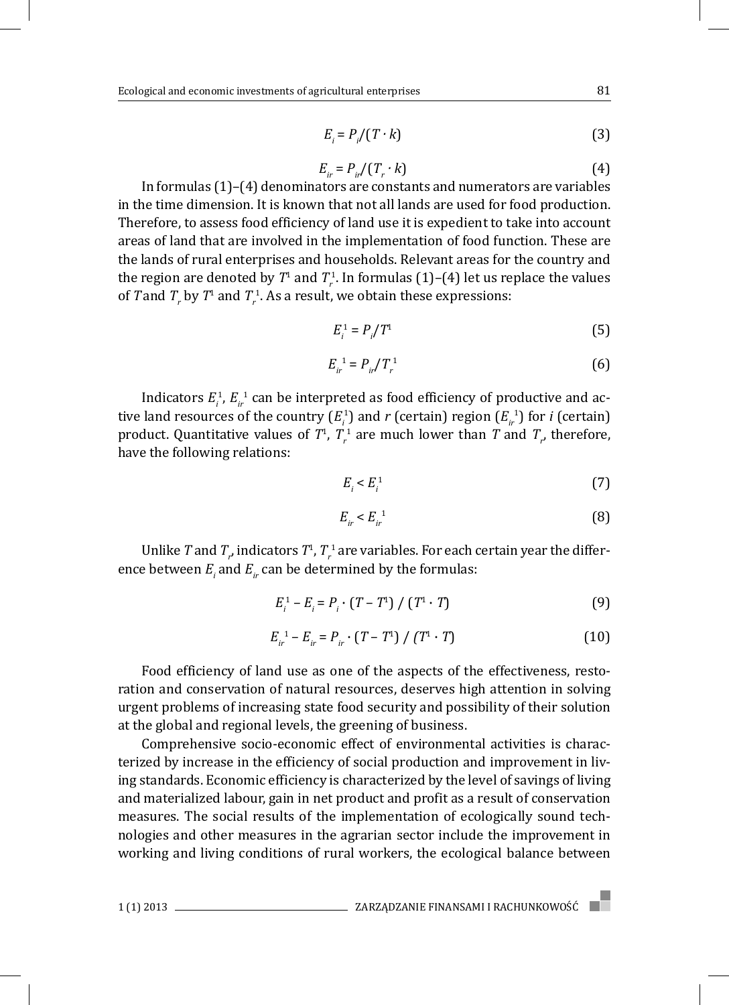$$
E_i = P_i / (T \cdot k) \tag{3}
$$

$$
E_{ir} = P_{ir}/(T_r \cdot k) \tag{4}
$$

In formulas (1)–(4) denominators are constants and numerators are variables in the time dimension. It is known that not all lands are used for food production. Therefore, to assess food efficiency of land use it is expedient to take into account areas of land that are involved in the implementation of food function. These are the lands of rural enterprises and households. Relevant areas for the country and the region are denoted by  $T^1$  and  $T_r^1$ . In formulas (1)–(4) let us replace the values of  $T$  and  $T_r$  by  $T^1$  and  $T_r^1$ . As a result, we obtain these expressions:

$$
E_i^1 = P_i / T^1 \tag{5}
$$

$$
E_{ir}^{-1} = P_{ir}/T_r^1
$$
 (6)

Indicators  $E_i^1$ ,  $E_{ir}^{-1}$  can be interpreted as food efficiency of productive and active land resources of the country  $(E_i^1)$  and  $r$  (certain) region  $(E_{ir}^1)$  for *i* (certain) product. Quantitative values of  $T^1$ ,  $T^1_r$  are much lower than  $T$  and  $T^r_r$ , therefore, have the following relations:

$$
E_i < E_i^1 \tag{7}
$$

$$
E_{ir} < E_{ir}^{-1} \tag{8}
$$

Unlike  $T$  and  $T_{_{r^\prime}}$  indicators  $T^1$ ,  $T_{r}^{\ 1}$  are variables. For each certain year the difference between  $E_i$  and  $E_{ir}$  can be determined by the formulas:

$$
E_i^1 - E_i = P_i \cdot (T - T^1) / (T^1 \cdot T)
$$
 (9)

$$
E_{ir}^{1} - E_{ir} = P_{ir} \cdot (T - T^{1}) / (T^{1} \cdot T)
$$
 (10)

Food efficiency of land use as one of the aspects of the effectiveness, restoration and conservation of natural resources, deserves high attention in solving urgent problems of increasing state food security and possibility of their solution at the global and regional levels, the greening of business.

Comprehensive socio-economic effect of environmental activities is characterized by increase in the efficiency of social production and improvement in living standards. Economic efficiency is characterized by the level of savings of living and materialized labour, gain in net product and profit as a result of conservation measures. The social results of the implementation of ecologically sound technologies and other measures in the agrarian sector include the improvement in working and living conditions of rural workers, the ecological balance between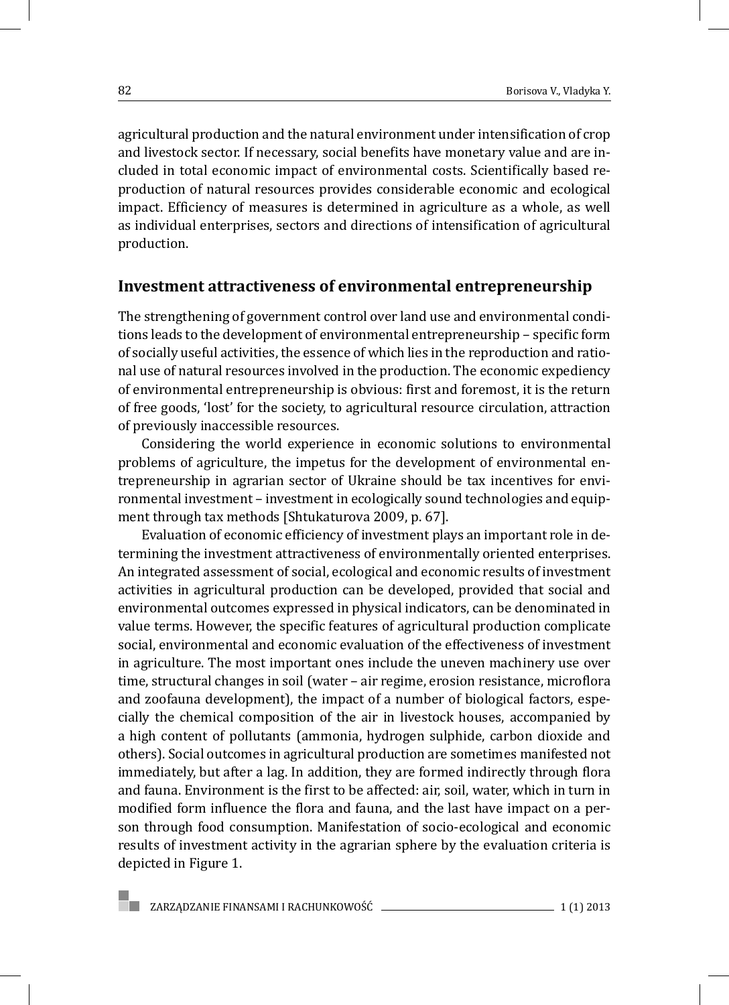agricultural production and the natural environment under intensification of crop and livestock sector. If necessary, social benefits have monetary value and are included in total economic impact of environmental costs. Scientifically based reproduction of natural resources provides considerable economic and ecological impact. Efficiency of measures is determined in agriculture as a whole, as well as individual enterprises, sectors and directions of intensification of agricultural production.

#### **Investment attractiveness of environmental entrepreneurship**

The strengthening of government control over land use and environmental conditions leads to the development of environmental entrepreneurship – specific form of socially useful activities, the essence of which lies in the reproduction and rational use of natural resources involved in the production. The economic expediency of environmental entrepreneurship is obvious: first and foremost, it is the return of free goods, 'lost' for the society, to agricultural resource circulation, attraction of previously inaccessible resources.

Considering the world experience in economic solutions to environmental problems of agriculture, the impetus for the development of environmental entrepreneurship in agrarian sector of Ukraine should be tax incentives for environmental investment – investment in ecologically sound technologies and equipment through tax methods [Shtukaturova 2009, p. 67].

Evaluation of economic efficiency of investment plays an important role in determining the investment attractiveness of environmentally oriented enterprises. An integrated assessment of social, ecological and economic results of investment activities in agricultural production can be developed, provided that social and environmental outcomes expressed in physical indicators, can be denominated in value terms. However, the specific features of agricultural production complicate social, environmental and economic evaluation of the effectiveness of investment in agriculture. The most important ones include the uneven machinery use over time, structural changes in soil (water – air regime, erosion resistance, microflora and zoofauna development), the impact of a number of biological factors, especially the chemical composition of the air in livestock houses, accompanied by a high content of pollutants (ammonia, hydrogen sulphide, carbon dioxide and others). Social outcomes in agricultural production are sometimes manifested not immediately, but after a lag. In addition, they are formed indirectly through flora and fauna. Environment is the first to be affected: air, soil, water, which in turn in modified form influence the flora and fauna, and the last have impact on a person through food consumption. Manifestation of socio-ecological and economic results of investment activity in the agrarian sphere by the evaluation criteria is depicted in Figure 1.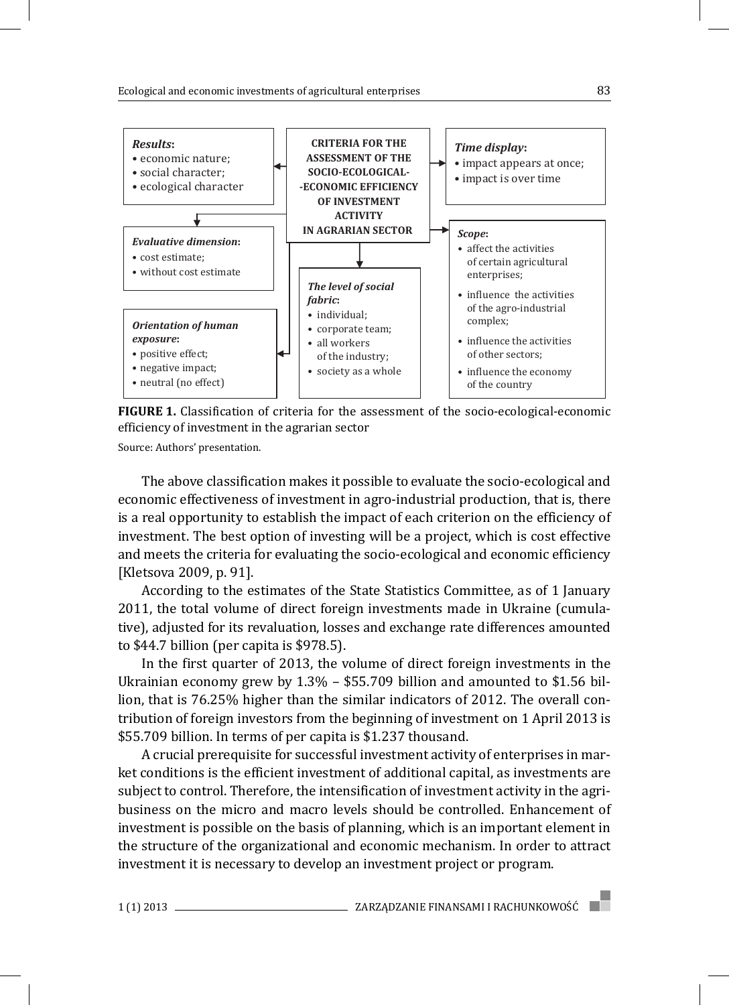

**FIGURE 1.** Classification of criteria for the assessment of the socio-ecological-economic efficiency of investment in the agrarian sector

Source: Authors' presentation.

The above classification makes it possible to evaluate the socio-ecological and economic effectiveness of investment in agro-industrial production, that is, there is a real opportunity to establish the impact of each criterion on the efficiency of investment. The best option of investing will be a project, which is cost effective and meets the criteria for evaluating the socio-ecological and economic efficiency [Kletsova 2009, p. 91].

According to the estimates of the State Statistics Committee, as of 1 January 2011, the total volume of direct foreign investments made in Ukraine (cumulative), adjusted for its revaluation, losses and exchange rate differences amounted to \$44.7 billion (per capita is \$978.5).

In the first quarter of 2013, the volume of direct foreign investments in the Ukrainian economy grew by 1.3% – \$55.709 billion and amounted to \$1.56 billion, that is 76.25% higher than the similar indicators of 2012. The overall contribution of foreign investors from the beginning of investment on 1 April 2013 is \$55.709 billion. In terms of per capita is \$1.237 thousand.

A crucial prerequisite for successful investment activity of enterprises in market conditions is the efficient investment of additional capital, as investments are subject to control. Therefore, the intensification of investment activity in the agribusiness on the micro and macro levels should be controlled. Enhancement of investment is possible on the basis of planning, which is an important element in the structure of the organizational and economic mechanism. In order to attract investment it is necessary to develop an investment project or program.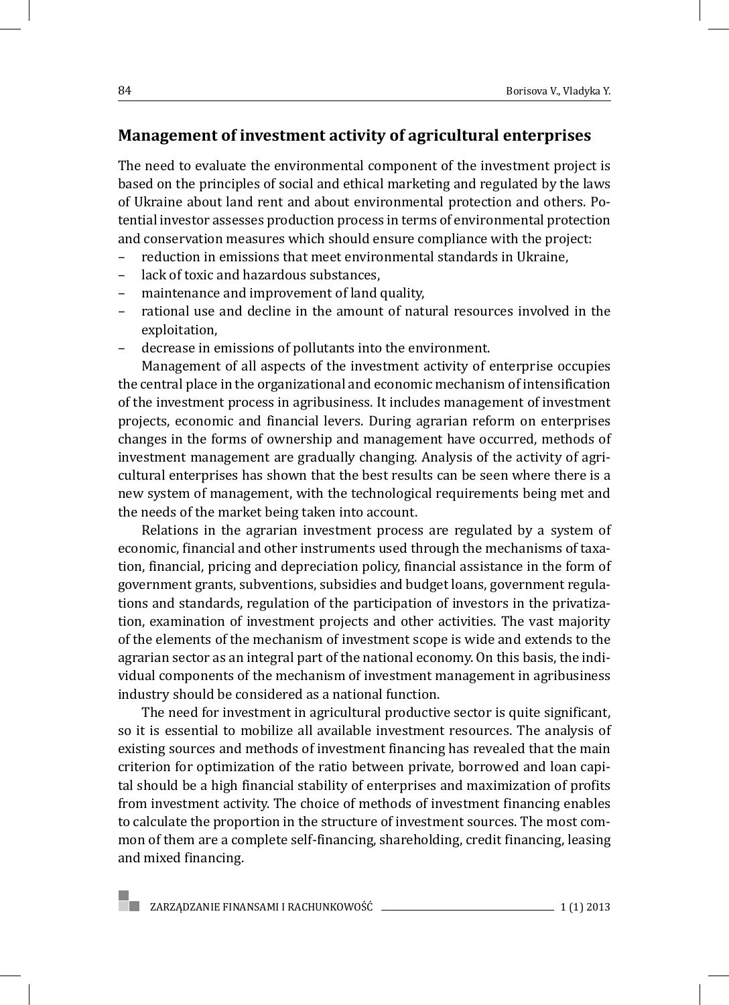## **Management of investment activity of agricultural enterprises**

The need to evaluate the environmental component of the investment project is based on the principles of social and ethical marketing and regulated by the laws of Ukraine about land rent and about environmental protection and others. Potential investor assesses production process in terms of environmental protection and conservation measures which should ensure compliance with the project:

- reduction in emissions that meet environmental standards in Ukraine,
- lack of toxic and hazardous substances,
- maintenance and improvement of land quality,
- rational use and decline in the amount of natural resources involved in the exploitation,
- decrease in emissions of pollutants into the environment.

Management of all aspects of the investment activity of enterprise occupies the central place in the organizational and economic mechanism of intensification of the investment process in agribusiness. It includes management of investment projects, economic and financial levers. During agrarian reform on enterprises changes in the forms of ownership and management have occurred, methods of investment management are gradually changing. Analysis of the activity of agricultural enterprises has shown that the best results can be seen where there is a new system of management, with the technological requirements being met and the needs of the market being taken into account.

Relations in the agrarian investment process are regulated by a system of economic, financial and other instruments used through the mechanisms of taxation, financial, pricing and depreciation policy, financial assistance in the form of government grants, subventions, subsidies and budget loans, government regulations and standards, regulation of the participation of investors in the privatization, examination of investment projects and other activities. The vast majority of the elements of the mechanism of investment scope is wide and extends to the agrarian sector as an integral part of the national economy. On this basis, the individual components of the mechanism of investment management in agribusiness industry should be considered as a national function.

The need for investment in agricultural productive sector is quite significant, so it is essential to mobilize all available investment resources. The analysis of existing sources and methods of investment financing has revealed that the main criterion for optimization of the ratio between private, borrowed and loan capital should be a high financial stability of enterprises and maximization of profits from investment activity. The choice of methods of investment financing enables to calculate the proportion in the structure of investment sources. The most common of them are a complete self-financing, shareholding, credit financing, leasing and mixed financing.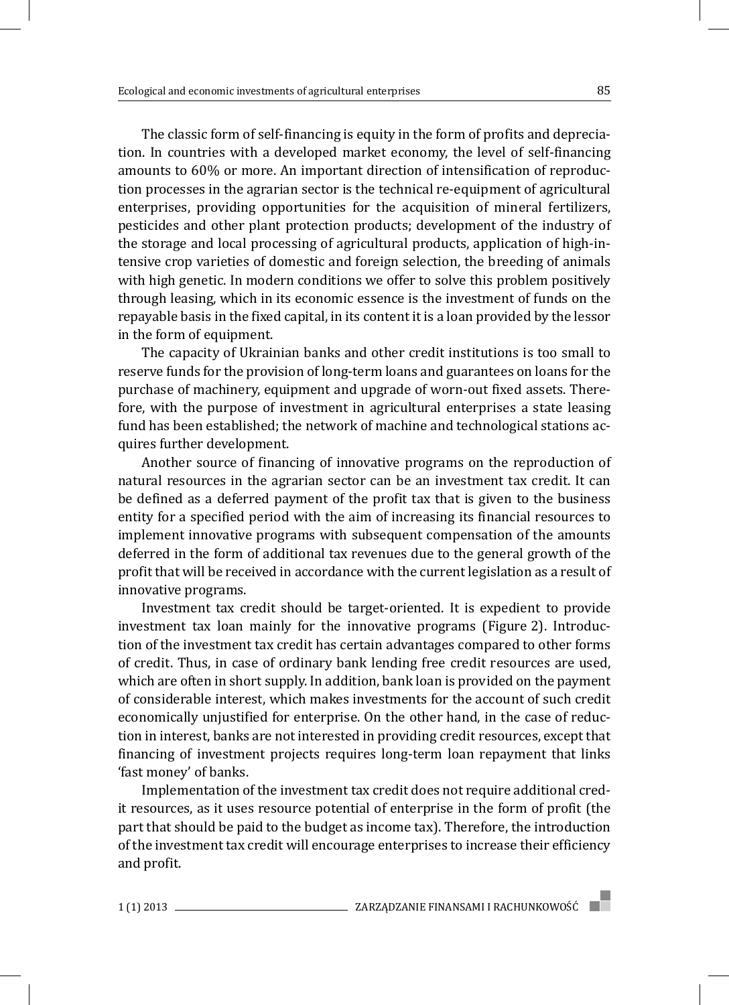The classic form of self-financing is equity in the form of profits and depreciation. In countries with a developed market economy, the level of self-financing amounts to 60% or more. An important direction of intensification of reproduction processes in the agrarian sector is the technical re-equipment of agricultural enterprises, providing opportunities for the acquisition of mineral fertilizers, pesticides and other plant protection products; development of the industry of the storage and local processing of agricultural products, application of high-intensive crop varieties of domestic and foreign selection, the breeding of animals with high genetic. In modern conditions we offer to solve this problem positively through leasing, which in its economic essence is the investment of funds on the repayable basis in the fixed capital, in its content it is a loan provided by the lessor in the form of equipment.

The capacity of Ukrainian banks and other credit institutions is too small to reserve funds for the provision of long-term loans and guarantees on loans for the purchase of machinery, equipment and upgrade of worn-out fixed assets. Therefore, with the purpose of investment in agricultural enterprises a state leasing fund has been established; the network of machine and technological stations acquires further development.

Another source of financing of innovative programs on the reproduction of natural resources in the agrarian sector can be an investment tax credit. It can be defined as a deferred payment of the profit tax that is given to the business entity for a specified period with the aim of increasing its financial resources to implement innovative programs with subsequent compensation of the amounts deferred in the form of additional tax revenues due to the general growth of the profit that will be received in accordance with the current legislation as a result of innovative programs.

Investment tax credit should be target-oriented. It is expedient to provide investment tax loan mainly for the innovative programs (Figure 2). Introduction of the investment tax credit has certain advantages compared to other forms of credit. Thus, in case of ordinary bank lending free credit resources are used, which are often in short supply. In addition, bank loan is provided on the payment of considerable interest, which makes investments for the account of such credit economically unjustified for enterprise. On the other hand, in the case of reduction in interest, banks are not interested in providing credit resources, except that financing of investment projects requires long-term loan repayment that links 'fast money' of banks.

Implementation of the investment tax credit does not require additional credit resources, as it uses resource potential of enterprise in the form of profit (the part that should be paid to the budget as income tax). Therefore, the introduction of the investment tax credit will encourage enterprises to increase their efficiency and profit.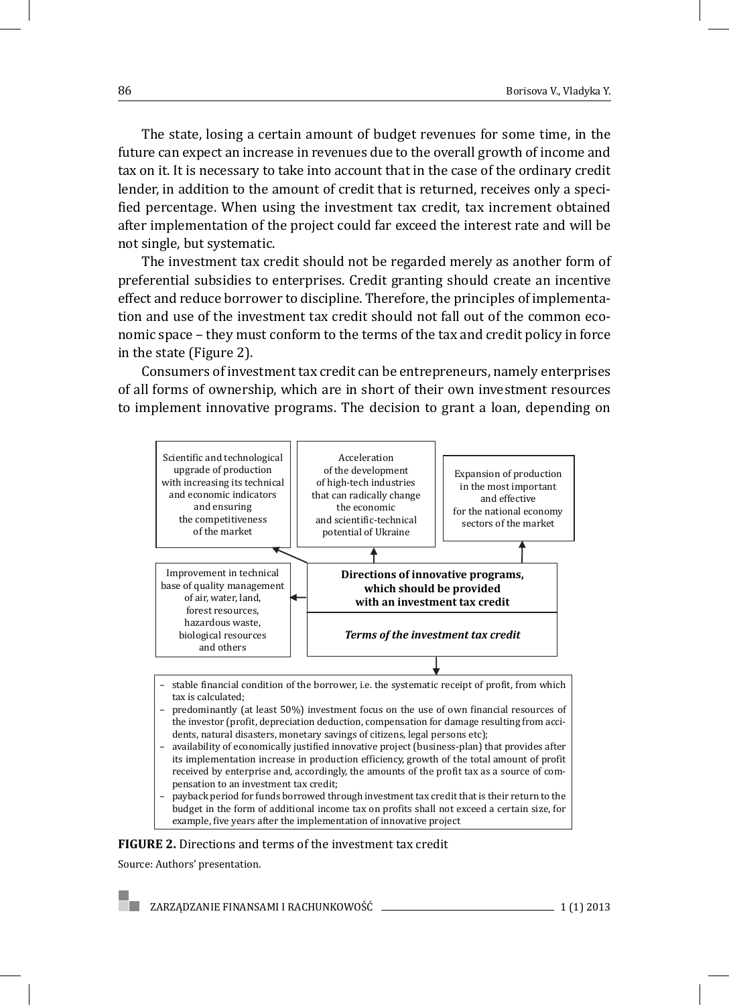The state, losing a certain amount of budget revenues for some time, in the future can expect an increase in revenues due to the overall growth of income and tax on it. It is necessary to take into account that in the case of the ordinary credit lender, in addition to the amount of credit that is returned, receives only a specified percentage. When using the investment tax credit, tax increment obtained after implementation of the project could far exceed the interest rate and will be not single, but systematic.

The investment tax credit should not be regarded merely as another form of preferential subsidies to enterprises. Credit granting should create an incentive effect and reduce borrower to discipline. Therefore, the principles of implementation and use of the investment tax credit should not fall out of the common economic space – they must conform to the terms of the tax and credit policy in force in the state (Figure 2).

Consumers of investment tax credit can be entrepreneurs, namely enterprises of all forms of ownership, which are in short of their own investment resources to implement innovative programs. The decision to grant a loan, depending on



- stable financial condition of the borrower, i.e. the systematic receipt of profit, from which tax is calculated;
- predominantly (at least 50%) investment focus on the use of own financial resources of the investor (profit, depreciation deduction, compensation for damage resulting from accidents, natural disasters, monetary savings of citizens, legal persons etc);
- availability of economically justified innovative project (business-plan) that provides after its implementation increase in production efficiency, growth of the total amount of profit received by enterprise and, accordingly, the amounts of the profit tax as a source of compensation to an investment tax credit;
- payback period for funds borrowed through investment tax credit that is their return to the budget in the form of additional income tax on profits shall not exceed a certain size, for example, five years after the implementation of innovative project

#### **FIGURE 2.** Directions and terms of the investment tax credit

Source: Authors' presentation.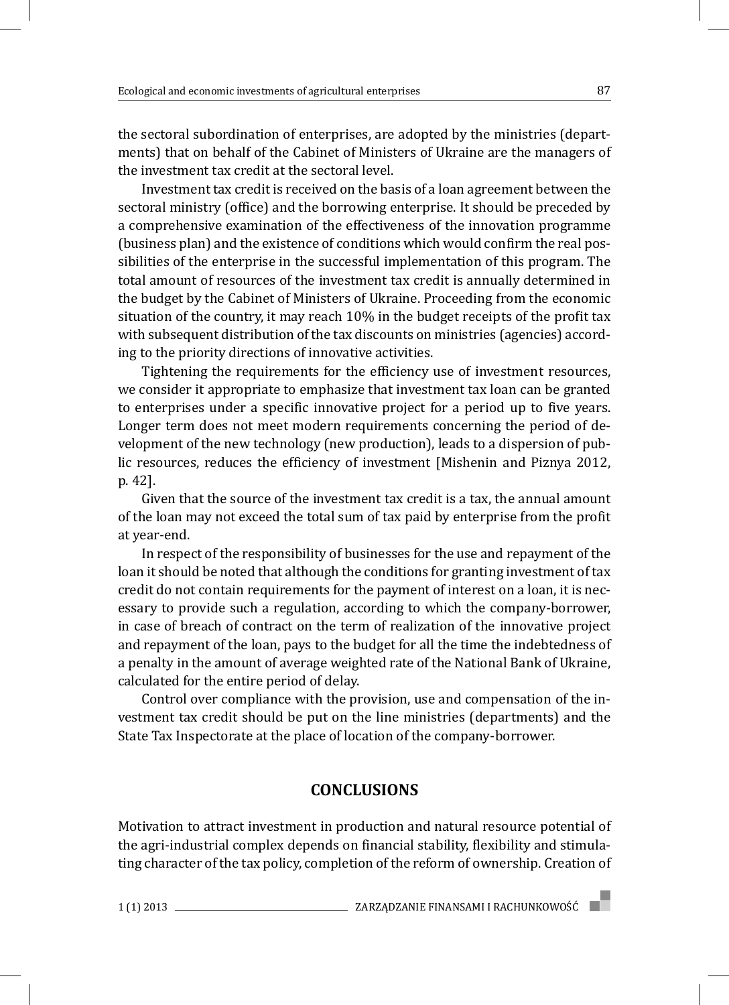the sectoral subordination of enterprises, are adopted by the ministries (departments) that on behalf of the Cabinet of Ministers of Ukraine are the managers of the investment tax credit at the sectoral level.

Investment tax credit is received on the basis of a loan agreement between the sectoral ministry (office) and the borrowing enterprise. It should be preceded by a comprehensive examination of the effectiveness of the innovation programme (business plan) and the existence of conditions which would confirm the real possibilities of the enterprise in the successful implementation of this program. The total amount of resources of the investment tax credit is annually determined in the budget by the Cabinet of Ministers of Ukraine. Proceeding from the economic situation of the country, it may reach 10% in the budget receipts of the profit tax with subsequent distribution of the tax discounts on ministries (agencies) according to the priority directions of innovative activities.

Tightening the requirements for the efficiency use of investment resources, we consider it appropriate to emphasize that investment tax loan can be granted to enterprises under a specific innovative project for a period up to five years. Longer term does not meet modern requirements concerning the period of development of the new technology (new production), leads to a dispersion of public resources, reduces the efficiency of investment [Mishenin and Piznya 2012, p. 42].

Given that the source of the investment tax credit is a tax, the annual amount of the loan may not exceed the total sum of tax paid by enterprise from the profit at year-end.

In respect of the responsibility of businesses for the use and repayment of the loan it should be noted that although the conditions for granting investment of tax credit do not contain requirements for the payment of interest on a loan, it is necessary to provide such a regulation, according to which the company-borrower, in case of breach of contract on the term of realization of the innovative project and repayment of the loan, pays to the budget for all the time the indebtedness of a penalty in the amount of average weighted rate of the National Bank of Ukraine, calculated for the entire period of delay.

Control over compliance with the provision, use and compensation of the investment tax credit should be put on the line ministries (departments) and the State Tax Inspectorate at the place of location of the company-borrower.

### **CONCLUSIONS**

Motivation to attract investment in production and natural resource potential of the agri-industrial complex depends on financial stability, flexibility and stimulating character of the tax policy, completion of the reform of ownership. Creation of